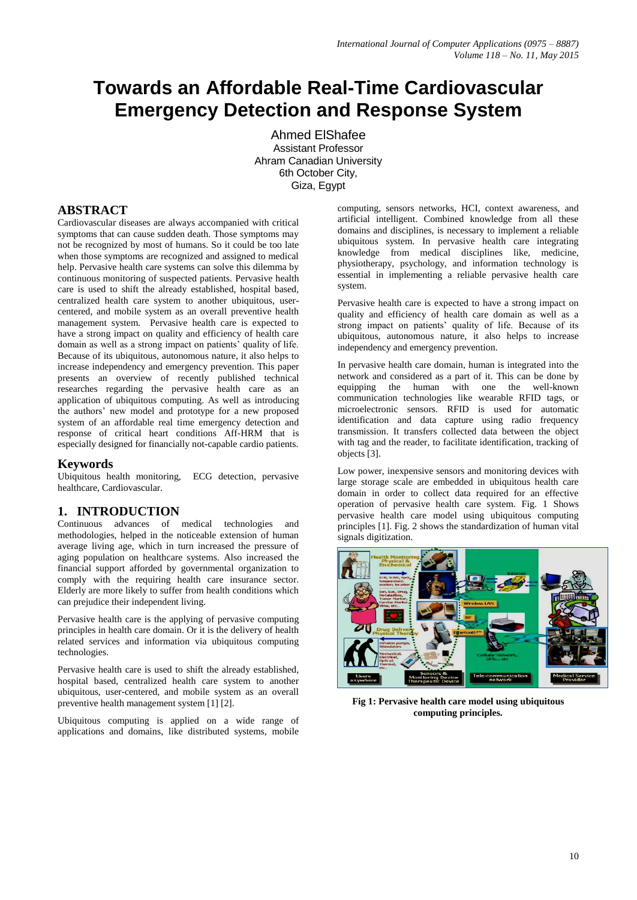# **Towards an Affordable Real-Time Cardiovascular Emergency Detection and Response System**

Ahmed ElShafee Assistant Professor Ahram Canadian University 6th October City, Giza, Egypt

## **ABSTRACT**

Cardiovascular diseases are always accompanied with critical symptoms that can cause sudden death. Those symptoms may not be recognized by most of humans. So it could be too late when those symptoms are recognized and assigned to medical help. Pervasive health care systems can solve this dilemma by continuous monitoring of suspected patients. Pervasive health care is used to shift the already established, hospital based, centralized health care system to another ubiquitous, usercentered, and mobile system as an overall preventive health management system. Pervasive health care is expected to have a strong impact on quality and efficiency of health care domain as well as a strong impact on patients' quality of life. Because of its ubiquitous, autonomous nature, it also helps to increase independency and emergency prevention. This paper presents an overview of recently published technical researches regarding the pervasive health care as an application of ubiquitous computing. As well as introducing the authors' new model and prototype for a new proposed system of an affordable real time emergency detection and response of critical heart conditions Aff-HRM that is especially designed for financially not-capable cardio patients.

#### **Keywords**

Ubiquitous health monitoring, ECG detection, pervasive healthcare, Cardiovascular.

## **1. INTRODUCTION**

Continuous advances of medical technologies and methodologies, helped in the noticeable extension of human average living age, which in turn increased the pressure of aging population on healthcare systems. Also increased the financial support afforded by governmental organization to comply with the requiring health care insurance sector. Elderly are more likely to suffer from health conditions which can prejudice their independent living.

Pervasive health care is the applying of pervasive computing principles in health care domain. Or it is the delivery of health related services and information via ubiquitous computing technologies.

Pervasive health care is used to shift the already established, hospital based, centralized health care system to another ubiquitous, user-centered, and mobile system as an overall preventive health management system [1] [2].

Ubiquitous computing is applied on a wide range of applications and domains, like distributed systems, mobile

computing, sensors networks, HCI, context awareness, and artificial intelligent. Combined knowledge from all these domains and disciplines, is necessary to implement a reliable ubiquitous system. In pervasive health care integrating knowledge from medical disciplines like, medicine, physiotherapy, psychology, and information technology is essential in implementing a reliable pervasive health care system.

Pervasive health care is expected to have a strong impact on quality and efficiency of health care domain as well as a strong impact on patients' quality of life. Because of its ubiquitous, autonomous nature, it also helps to increase independency and emergency prevention.

In pervasive health care domain, human is integrated into the network and considered as a part of it. This can be done by equipping the human with one the well-known communication technologies like wearable RFID tags, or microelectronic sensors. RFID is used for automatic identification and data capture using radio frequency transmission. It transfers collected data between the object with tag and the reader, to facilitate identification, tracking of objects [3].

Low power, inexpensive sensors and monitoring devices with large storage scale are embedded in ubiquitous health care domain in order to collect data required for an effective operation of pervasive health care system. Fig. 1 Shows pervasive health care model using ubiquitous computing principles [1]. Fig. 2 shows the standardization of human vital signals digitization.



**Fig 1: Pervasive health care model using ubiquitous computing principles.**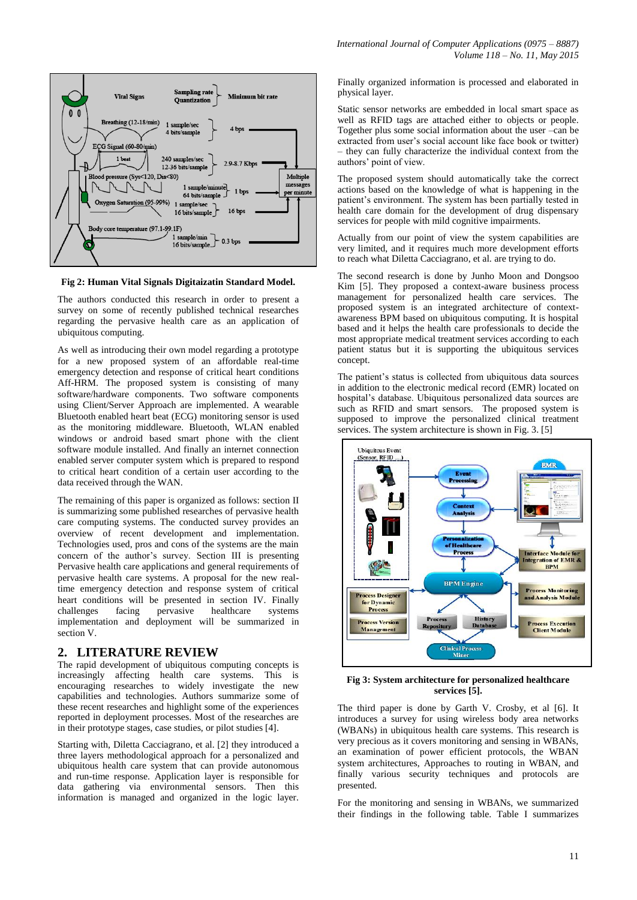

**Fig 2: Human Vital Signals Digitaizatin Standard Model.**

The authors conducted this research in order to present a survey on some of recently published technical researches regarding the pervasive health care as an application of ubiquitous computing.

As well as introducing their own model regarding a prototype for a new proposed system of an affordable real-time emergency detection and response of critical heart conditions Aff-HRM. The proposed system is consisting of many software/hardware components. Two software components using Client/Server Approach are implemented. A wearable Bluetooth enabled heart beat (ECG) monitoring sensor is used as the monitoring middleware. Bluetooth, WLAN enabled windows or android based smart phone with the client software module installed. And finally an internet connection enabled server computer system which is prepared to respond to critical heart condition of a certain user according to the data received through the WAN.

The remaining of this paper is organized as follows: section II is summarizing some published researches of pervasive health care computing systems. The conducted survey provides an overview of recent development and implementation. Technologies used, pros and cons of the systems are the main concern of the author's survey. Section III is presenting Pervasive health care applications and general requirements of pervasive health care systems. A proposal for the new realtime emergency detection and response system of critical heart conditions will be presented in section IV. Finally challenges facing pervasive healthcare systems implementation and deployment will be summarized in section V.

## **2. LITERATURE REVIEW**

The rapid development of ubiquitous computing concepts is increasingly affecting health care systems. This is encouraging researches to widely investigate the new capabilities and technologies. Authors summarize some of these recent researches and highlight some of the experiences reported in deployment processes. Most of the researches are in their prototype stages, case studies, or pilot studies [4].

Starting with, Diletta Cacciagrano, et al. [2] they introduced a three layers methodological approach for a personalized and ubiquitous health care system that can provide autonomous and run-time response. Application layer is responsible for data gathering via environmental sensors. Then this information is managed and organized in the logic layer.

Finally organized information is processed and elaborated in physical layer.

Static sensor networks are embedded in local smart space as well as RFID tags are attached either to objects or people. Together plus some social information about the user –can be extracted from user's social account like face book or twitter) – they can fully characterize the individual context from the authors' point of view.

The proposed system should automatically take the correct actions based on the knowledge of what is happening in the patient's environment. The system has been partially tested in health care domain for the development of drug dispensary services for people with mild cognitive impairments.

Actually from our point of view the system capabilities are very limited, and it requires much more development efforts to reach what Diletta Cacciagrano, et al. are trying to do.

The second research is done by Junho Moon and Dongsoo Kim [5]. They proposed a context-aware business process management for personalized health care services. The proposed system is an integrated architecture of contextawareness BPM based on ubiquitous computing. It is hospital based and it helps the health care professionals to decide the most appropriate medical treatment services according to each patient status but it is supporting the ubiquitous services concept.

The patient's status is collected from ubiquitous data sources in addition to the electronic medical record (EMR) located on hospital's database. Ubiquitous personalized data sources are such as RFID and smart sensors. The proposed system is supposed to improve the personalized clinical treatment services. The system architecture is shown in Fig. 3. [5]



#### **Fig 3: System architecture for personalized healthcare services [5].**

The third paper is done by Garth V. Crosby, et al [6]. It introduces a survey for using wireless body area networks (WBANs) in ubiquitous health care systems. This research is very precious as it covers monitoring and sensing in WBANs, an examination of power efficient protocols, the WBAN system architectures, Approaches to routing in WBAN, and finally various security techniques and protocols are presented.

For the monitoring and sensing in WBANs, we summarized their findings in the following table. Table I summarizes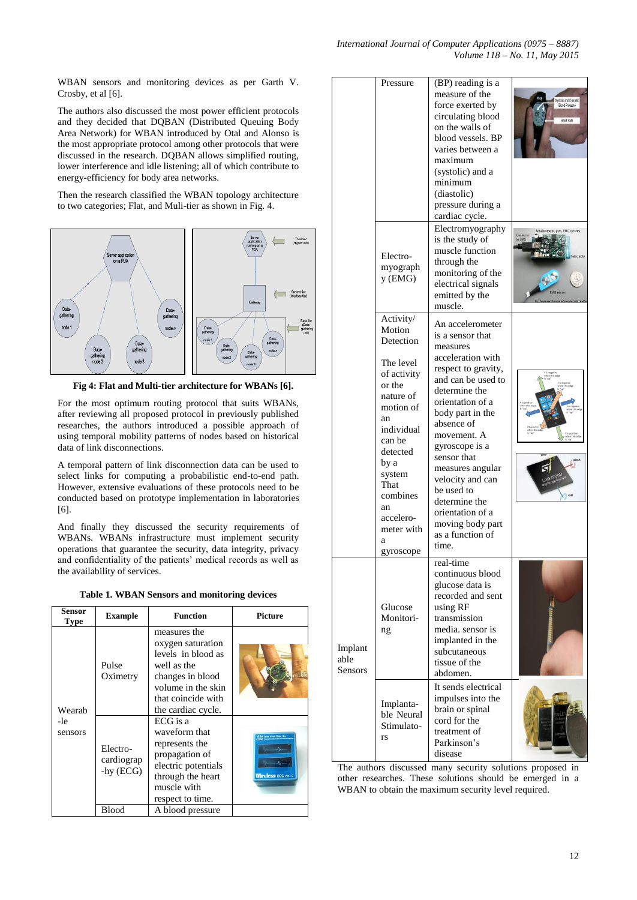WBAN sensors and monitoring devices as per Garth V. Crosby, et al [6].

The authors also discussed the most power efficient protocols and they decided that DQBAN (Distributed Queuing Body Area Network) for WBAN introduced by Otal and Alonso is the most appropriate protocol among other protocols that were discussed in the research. DQBAN allows simplified routing, lower interference and idle listening; all of which contribute to energy-efficiency for body area networks.

Then the research classified the WBAN topology architecture to two categories; Flat, and Muli-tier as shown in Fig. 4.



**Fig 4: Flat and Multi-tier architecture for WBANs [6].**

For the most optimum routing protocol that suits WBANs, after reviewing all proposed protocol in previously published researches, the authors introduced a possible approach of using temporal mobility patterns of nodes based on historical data of link disconnections.

A temporal pattern of link disconnection data can be used to select links for computing a probabilistic end-to-end path. However, extensive evaluations of these protocols need to be conducted based on prototype implementation in laboratories [6].

And finally they discussed the security requirements of WBANs. WBANs infrastructure must implement security operations that guarantee the security, data integrity, privacy and confidentiality of the patients' medical records as well as the availability of services.

**Table 1. WBAN Sensors and monitoring devices**

| Sensor<br><b>Type</b>    | <b>Example</b>                         | <b>Function</b>                                                                                                                                              | <b>Picture</b>                               |  |
|--------------------------|----------------------------------------|--------------------------------------------------------------------------------------------------------------------------------------------------------------|----------------------------------------------|--|
| Wearah<br>-le<br>sensors | Pulse<br>Oximetry                      | measures the<br>oxygen saturation<br>levels in blood as<br>well as the<br>changes in blood<br>volume in the skin<br>that coincide with<br>the cardiac cycle. |                                              |  |
|                          | Electro-<br>cardiograp<br>$-$ hy (ECG) | ECG is a<br>waveform that<br>represents the<br>propagation of<br>electric potentials<br>through the heart<br>muscle with<br>respect to time.                 | or street finant its<br>Wireless ECG Ver.1.0 |  |
|                          | Blood                                  | A blood pressure                                                                                                                                             |                                              |  |

|                            | Pressure                                                                                                                                                                                                                            | (BP) reading is a<br>measure of the<br>force exerted by<br>circulating blood<br>on the walls of<br>blood vessels. BP<br>varies between a<br>maximum<br>(systolic) and a<br>minimum<br>(diastolic)<br>pressure during a<br>cardiac cycle.                                                                                                                                              | ystolic and Diastolic<br><b>Elcod Pressure</b><br><b>Heart Rate</b> |
|----------------------------|-------------------------------------------------------------------------------------------------------------------------------------------------------------------------------------------------------------------------------------|---------------------------------------------------------------------------------------------------------------------------------------------------------------------------------------------------------------------------------------------------------------------------------------------------------------------------------------------------------------------------------------|---------------------------------------------------------------------|
|                            | Electro-<br>myograph<br>y (EMG)                                                                                                                                                                                                     | Electromyography<br>is the study of<br>muscle function<br>through the<br>monitoring of the<br>electrical signals<br>emitted by the<br>muscle.                                                                                                                                                                                                                                         | neter, gyro, EMG circuitry<br>Connector                             |
|                            | Activity/<br>Motion<br>Detection<br>The level<br>of activity<br>or the<br>nature of<br>motion of<br>an<br>individual<br>can be<br>detected<br>by a<br>system<br>That<br>combines<br>an<br>accelero-<br>meter with<br>a<br>gyroscope | An accelerometer<br>is a sensor that<br>measures<br>acceleration with<br>respect to gravity,<br>and can be used to<br>determine the<br>orientation of a<br>body part in the<br>absence of<br>movement. A<br>gyroscope is a<br>sensor that<br>measures angular<br>velocity and can<br>be used to<br>determine the<br>orientation of a<br>moving body part<br>as a function of<br>time. |                                                                     |
| Implant<br>able<br>Sensors | Glucose<br>Monitori-<br>ng                                                                                                                                                                                                          | real-time<br>continuous blood<br>glucose data is<br>recorded and sent<br>using RF<br>transmission<br>media, sensor is<br>implanted in the<br>subcutaneous<br>tissue of the<br>abdomen.                                                                                                                                                                                                |                                                                     |
|                            | Implanta-<br>ble Neural<br>Stimulato-<br>rs                                                                                                                                                                                         | It sends electrical<br>impulses into the<br>brain or spinal<br>cord for the<br>treatment of<br>Parkinson's<br>disease                                                                                                                                                                                                                                                                 |                                                                     |

The authors discussed many security solutions proposed in other researches. These solutions should be emerged in a WBAN to obtain the maximum security level required.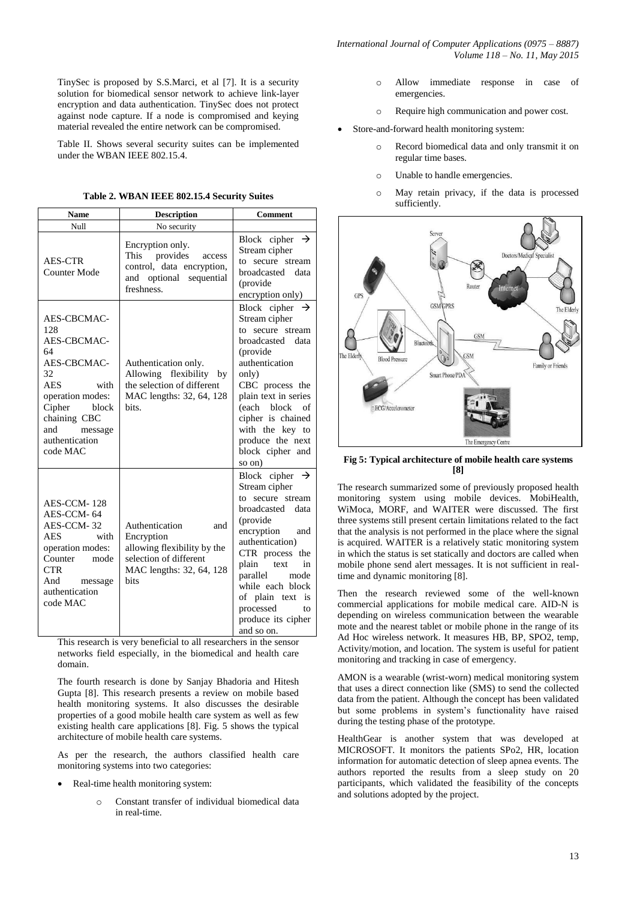TinySec is proposed by S.S.Marci, et al [7]. It is a security solution for biomedical sensor network to achieve link-layer encryption and data authentication. TinySec does not protect against node capture. If a node is compromised and keying material revealed the entire network can be compromised.

Table II. Shows several security suites can be implemented under the WBAN IEEE 802.15.4.

|  |  |  |  | Table 2. WBAN IEEE 802.15.4 Security Suites |  |
|--|--|--|--|---------------------------------------------|--|
|--|--|--|--|---------------------------------------------|--|

| <b>Name</b>                                                                                                                                                                               | <b>Description</b>                                                                                                               | <b>Comment</b>                                                                                                                                                                                                                                                                                    |  |  |
|-------------------------------------------------------------------------------------------------------------------------------------------------------------------------------------------|----------------------------------------------------------------------------------------------------------------------------------|---------------------------------------------------------------------------------------------------------------------------------------------------------------------------------------------------------------------------------------------------------------------------------------------------|--|--|
| Null                                                                                                                                                                                      | No security                                                                                                                      |                                                                                                                                                                                                                                                                                                   |  |  |
| <b>AES-CTR</b><br><b>Counter Mode</b>                                                                                                                                                     | Encryption only.<br>This provides<br>access<br>control, data encryption,<br>and optional sequential<br>freshness.                | Block cipher $\rightarrow$<br>Stream cipher<br>to secure stream<br>broadcasted data<br>(provide)<br>encryption only)                                                                                                                                                                              |  |  |
| AES-CBCMAC-<br>128<br>AES-CBCMAC-<br>64<br>AES-CBCMAC-<br>32<br><b>AES</b><br>with<br>operation modes:<br>Cipher<br>block<br>chaining CBC<br>and<br>message<br>authentication<br>code MAC | Authentication only.<br>Allowing flexibility by<br>the selection of different<br>MAC lengths: 32, 64, 128<br>bits.               | Block cipher $\rightarrow$<br>Stream cipher<br>to secure stream<br>broadcasted data<br>(provide<br>authentication<br>only)<br>CBC process the<br>plain text in series<br>(each block<br>of<br>cipher is chained<br>with the key to<br>produce the next<br>block cipher and<br>so on)              |  |  |
| AES-CCM-128<br>AES-CCM-64<br>AES-CCM-32<br><b>AES</b><br>with<br>operation modes:<br>Counter<br>mode<br><b>CTR</b><br>And<br>message<br>authentication<br>code MAC                        | Authentication<br>and<br>Encryption<br>allowing flexibility by the<br>selection of different<br>MAC lengths: 32, 64, 128<br>bits | Block cipher $\rightarrow$<br>Stream cipher<br>to secure stream<br>broadcasted data<br>(provide<br>encryption and<br>authentication)<br>CTR process the<br>plain text<br>in<br>parallel<br>mode<br>while each block<br>of plain text<br>is<br>processed<br>to<br>produce its cipher<br>and so on. |  |  |

This research is very beneficial to all researchers in the sensor networks field especially, in the biomedical and health care domain.

The fourth research is done by Sanjay Bhadoria and Hitesh Gupta [8]. This research presents a review on mobile based health monitoring systems. It also discusses the desirable properties of a good mobile health care system as well as few existing health care applications [8]. Fig. 5 shows the typical architecture of mobile health care systems.

As per the research, the authors classified health care monitoring systems into two categories:

- Real-time health monitoring system:
	- o Constant transfer of individual biomedical data in real-time.
- o Allow immediate response in case of emergencies.
- o Require high communication and power cost.
- Store-and-forward health monitoring system:
	- Record biomedical data and only transmit it on regular time bases.
	- o Unable to handle emergencies.
	- o May retain privacy, if the data is processed sufficiently.



**Fig 5: Typical architecture of mobile health care systems [8]**

The research summarized some of previously proposed health monitoring system using mobile devices. MobiHealth, WiMoca, MORF, and WAITER were discussed. The first three systems still present certain limitations related to the fact that the analysis is not performed in the place where the signal is acquired. WAITER is a relatively static monitoring system in which the status is set statically and doctors are called when mobile phone send alert messages. It is not sufficient in realtime and dynamic monitoring [8].

Then the research reviewed some of the well-known commercial applications for mobile medical care. AID-N is depending on wireless communication between the wearable mote and the nearest tablet or mobile phone in the range of its Ad Hoc wireless network. It measures HB, BP, SPO2, temp, Activity/motion, and location. The system is useful for patient monitoring and tracking in case of emergency.

AMON is a wearable (wrist-worn) medical monitoring system that uses a direct connection like (SMS) to send the collected data from the patient. Although the concept has been validated but some problems in system's functionality have raised during the testing phase of the prototype.

HealthGear is another system that was developed at MICROSOFT. It monitors the patients SPo2, HR, location information for automatic detection of sleep apnea events. The authors reported the results from a sleep study on 20 participants, which validated the feasibility of the concepts and solutions adopted by the project.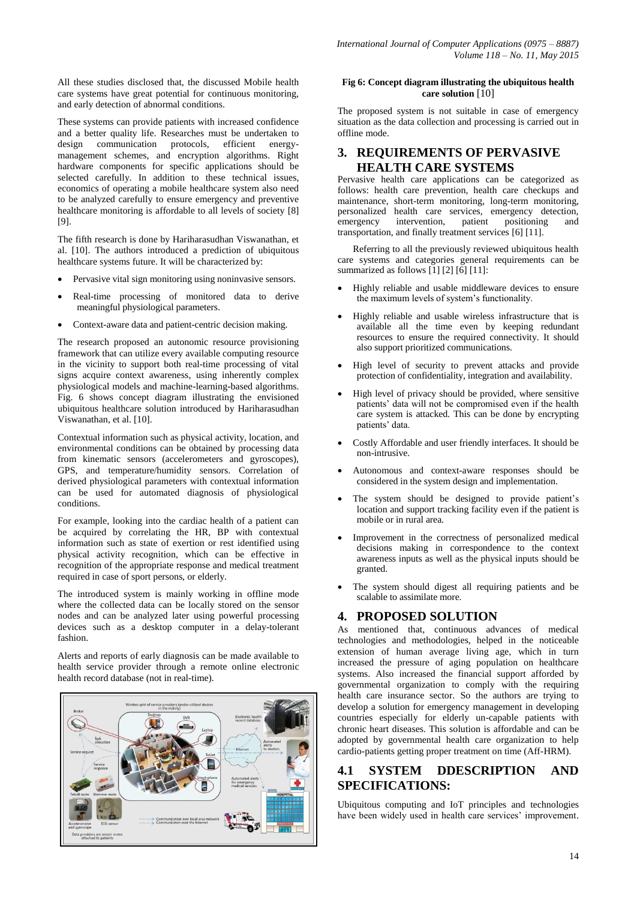All these studies disclosed that, the discussed Mobile health care systems have great potential for continuous monitoring, and early detection of abnormal conditions.

These systems can provide patients with increased confidence and a better quality life. Researches must be undertaken to design communication protocols, efficient energymanagement schemes, and encryption algorithms. Right hardware components for specific applications should be selected carefully. In addition to these technical issues, economics of operating a mobile healthcare system also need to be analyzed carefully to ensure emergency and preventive healthcare monitoring is affordable to all levels of society [8] [9].

The fifth research is done by Hariharasudhan Viswanathan, et al. [10]. The authors introduced a prediction of ubiquitous healthcare systems future. It will be characterized by:

- Pervasive vital sign monitoring using noninvasive sensors.
- Real-time processing of monitored data to derive meaningful physiological parameters.
- Context-aware data and patient-centric decision making.

The research proposed an autonomic resource provisioning framework that can utilize every available computing resource in the vicinity to support both real-time processing of vital signs acquire context awareness, using inherently complex physiological models and machine-learning-based algorithms. Fig. 6 shows concept diagram illustrating the envisioned ubiquitous healthcare solution introduced by Hariharasudhan Viswanathan, et al. [10].

Contextual information such as physical activity, location, and environmental conditions can be obtained by processing data from kinematic sensors (accelerometers and gyroscopes), GPS, and temperature/humidity sensors. Correlation of derived physiological parameters with contextual information can be used for automated diagnosis of physiological conditions.

For example, looking into the cardiac health of a patient can be acquired by correlating the HR, BP with contextual information such as state of exertion or rest identified using physical activity recognition, which can be effective in recognition of the appropriate response and medical treatment required in case of sport persons, or elderly.

The introduced system is mainly working in offline mode where the collected data can be locally stored on the sensor nodes and can be analyzed later using powerful processing devices such as a desktop computer in a delay-tolerant fashion.

Alerts and reports of early diagnosis can be made available to health service provider through a remote online electronic health record database (not in real-time).



#### **Fig 6: Concept diagram illustrating the ubiquitous health care solution** [10]

The proposed system is not suitable in case of emergency situation as the data collection and processing is carried out in offline mode.

## **3. REQUIREMENTS OF PERVASIVE HEALTH CARE SYSTEMS**

Pervasive health care applications can be categorized as follows: health care prevention, health care checkups and maintenance, short-term monitoring, long-term monitoring, personalized health care services, emergency detection, emergency intervention, patient positioning and transportation, and finally treatment services [6] [11].

Referring to all the previously reviewed ubiquitous health care systems and categories general requirements can be summarized as follows  $\begin{bmatrix} 1 \end{bmatrix} \begin{bmatrix} 2 \end{bmatrix} \begin{bmatrix} 6 \end{bmatrix} \begin{bmatrix} 11 \end{bmatrix}$ :

- Highly reliable and usable middleware devices to ensure the maximum levels of system's functionality.
- Highly reliable and usable wireless infrastructure that is available all the time even by keeping redundant resources to ensure the required connectivity. It should also support prioritized communications.
- High level of security to prevent attacks and provide protection of confidentiality, integration and availability.
- High level of privacy should be provided, where sensitive patients' data will not be compromised even if the health care system is attacked. This can be done by encrypting patients' data.
- Costly Affordable and user friendly interfaces. It should be non-intrusive.
- Autonomous and context-aware responses should be considered in the system design and implementation.
- The system should be designed to provide patient's location and support tracking facility even if the patient is mobile or in rural area.
- Improvement in the correctness of personalized medical decisions making in correspondence to the context awareness inputs as well as the physical inputs should be granted.
- The system should digest all requiring patients and be scalable to assimilate more.

#### **4. PROPOSED SOLUTION**

As mentioned that, continuous advances of medical technologies and methodologies, helped in the noticeable extension of human average living age, which in turn increased the pressure of aging population on healthcare systems. Also increased the financial support afforded by governmental organization to comply with the requiring health care insurance sector. So the authors are trying to develop a solution for emergency management in developing countries especially for elderly un-capable patients with chronic heart diseases. This solution is affordable and can be adopted by governmental health care organization to help cardio-patients getting proper treatment on time (Aff-HRM).

## **4.1 SYSTEM DDESCRIPTION AND SPECIFICATIONS:**

Ubiquitous computing and IoT principles and technologies have been widely used in health care services' improvement.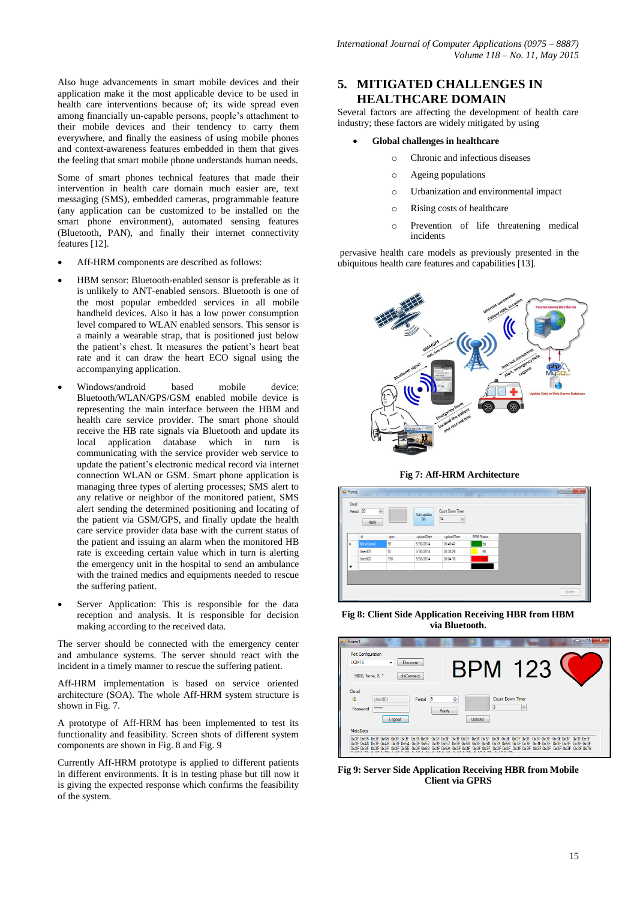Also huge advancements in smart mobile devices and their application make it the most applicable device to be used in health care interventions because of; its wide spread even among financially un-capable persons, people's attachment to their mobile devices and their tendency to carry them everywhere, and finally the easiness of using mobile phones and context-awareness features embedded in them that gives the feeling that smart mobile phone understands human needs.

Some of smart phones technical features that made their intervention in health care domain much easier are, text messaging (SMS), embedded cameras, programmable feature (any application can be customized to be installed on the smart phone environment), automated sensing features (Bluetooth, PAN), and finally their internet connectivity features [12].

- Aff-HRM components are described as follows:
- HBM sensor: Bluetooth-enabled sensor is preferable as it is unlikely to ANT-enabled sensors. Bluetooth is one of the most popular embedded services in all mobile handheld devices. Also it has a low power consumption level compared to WLAN enabled sensors. This sensor is a mainly a wearable strap, that is positioned just below the patient's chest. It measures the patient's heart beat rate and it can draw the heart ECO signal using the accompanying application.
- Windows/android based mobile device: Bluetooth/WLAN/GPS/GSM enabled mobile device is representing the main interface between the HBM and health care service provider. The smart phone should receive the HB rate signals via Bluetooth and update its local application database which in turn is communicating with the service provider web service to update the patient's electronic medical record via internet connection WLAN or GSM. Smart phone application is managing three types of alerting processes; SMS alert to any relative or neighbor of the monitored patient, SMS alert sending the determined positioning and locating of the patient via GSM/GPS, and finally update the health care service provider data base with the current status of the patient and issuing an alarm when the monitored HB rate is exceeding certain value which in turn is alerting the emergency unit in the hospital to send an ambulance with the trained medics and equipments needed to rescue the suffering patient.
- Server Application: This is responsible for the data reception and analysis. It is responsible for decision making according to the received data.

The server should be connected with the emergency center and ambulance systems. The server should react with the incident in a timely manner to rescue the suffering patient.

Aff-HRM implementation is based on service oriented architecture (SOA). The whole Aff-HRM system structure is shown in Fig. 7.

A prototype of Aff-HRM has been implemented to test its functionality and feasibility. Screen shots of different system components are shown in Fig. 8 and Fig. 9

Currently Aff-HRM prototype is applied to different patients in different environments. It is in testing phase but till now it is giving the expected response which confirms the feasibility of the system.

## **5. MITIGATED CHALLENGES IN HEALTHCARE DOMAIN**

Several factors are affecting the development of health care industry; these factors are widely mitigated by using

#### **Global challenges in healthcare**

- o Chronic and infectious diseases
- o Ageing populations
- o Urbanization and environmental impact
- o Rising costs of healthcare
- o Prevention of life threatening medical incidents

pervasive health care models as previously presented in the ubiquitous health care features and capabilities [13].



**Fig 7: Aff-HRM Architecture**

| $\frac{1}{2}$ Form1<br>Cloud | Period 20<br>$\frac{\Delta}{2}$<br>Apply |     | Auto update<br>On | Court Down Timer<br>14<br>$\frac{\Delta}{\pi}$ |                   | $\begin{array}{c c c c} \hline \multicolumn{3}{c }{\mathbb{D}} & \multicolumn{3}{c}{\mathbf{X}} \end{array}$ |
|------------------------------|------------------------------------------|-----|-------------------|------------------------------------------------|-------------------|--------------------------------------------------------------------------------------------------------------|
|                              | id                                       | bpm | uploadDate        | uploadTime                                     | <b>BPM Status</b> |                                                                                                              |
| ٠                            | NohaGamal                                | 98  | 5/30/2014         | 20:48:42                                       | 38                |                                                                                                              |
|                              | User001                                  | 55  | 5/30/2014         | 20:38:26                                       | 55                |                                                                                                              |
|                              | User002                                  | 150 | 5/30/2014         | 20:04:16                                       | 150               |                                                                                                              |
| 米                            |                                          |     |                   |                                                |                   |                                                                                                              |
|                              |                                          |     |                   |                                                |                   |                                                                                                              |
|                              |                                          |     |                   |                                                |                   | Update                                                                                                       |
|                              |                                          |     |                   |                                                |                   |                                                                                                              |

**Fig 8: Client Side Application Receiving HBR from HBM via Bluetooth.**

| $\blacksquare$ Form1<br>Port Configuration<br><b>COM15</b><br>9600, None, 8, 1 | <b>Discover</b><br>disConnect                                                                                                          |                             | <b>BPM</b>                             | 123 |  |
|--------------------------------------------------------------------------------|----------------------------------------------------------------------------------------------------------------------------------------|-----------------------------|----------------------------------------|-----|--|
| Cloud<br>ID<br>User001<br>******<br>Password                                   | Period 5<br>Logout                                                                                                                     | ÷<br>Apply                  | Count Down Timer<br>3<br><b>Upload</b> | 高   |  |
| MetaData<br>IOx3E Ox3E<br><b>UMSE UMSE</b>                                     | l0x3F0x48 0x3F0x4B 0x3F0x54 0x3F0x57 0x3F0x57 0x3F0x58 0x3F0x58 0x3F0x58 0x3F0x56 0x3F0x3F0x3F0x3F0x3F0x3F0x3F<br>Ox3E Ox5E<br>0.35063 | 0x3F0x6A0x3F<br><b>OMRE</b> |                                        |     |  |

**Fig 9: Server Side Application Receiving HBR from Mobile Client via GPRS**